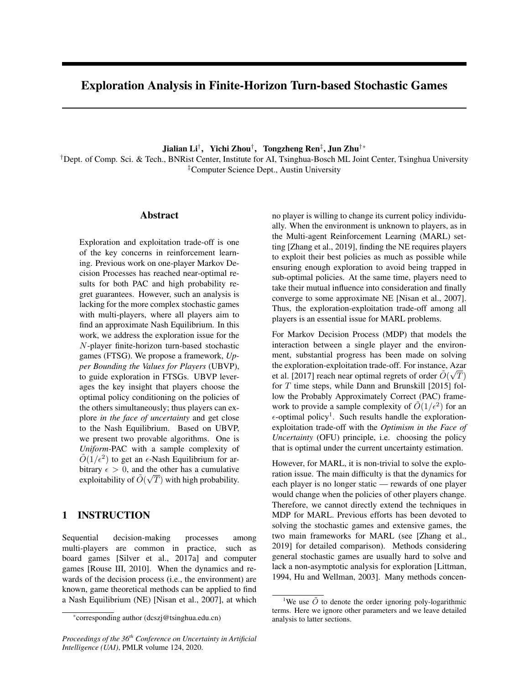# Exploration Analysis in Finite-Horizon Turn-based Stochastic Games

Jialian Li*†*, Yichi Zhou*†*, Tongzheng Ren*‡*, Jun Zhu*†*\*

*†*Dept. of Comp. Sci. & Tech., BNRist Center, Institute for AI, Tsinghua-Bosch ML Joint Center, Tsinghua University *‡*Computer Science Dept., Austin University

### Abstract

Exploration and exploitation trade-off is one of the key concerns in reinforcement learning. Previous work on one-player Markov Decision Processes has reached near-optimal results for both PAC and high probability regret guarantees. However, such an analysis is lacking for the more complex stochastic games with multi-players, where all players aim to find an approximate Nash Equilibrium. In this work, we address the exploration issue for the *N*-player finite-horizon turn-based stochastic games (FTSG). We propose a framework, *Upper Bounding the Values for Players* (UBVP), to guide exploration in FTSGs. UBVP leverages the key insight that players choose the optimal policy conditioning on the policies of the others simultaneously; thus players can explore *in the face of uncertainty* and get close to the Nash Equilibrium. Based on UBVP, we present two provable algorithms. One is *Uniform*-PAC with a sample complexity of  $\tilde{O}(1/\epsilon^2)$  to get an  $\epsilon$ -Nash Equilibrium for arbitrary  $\epsilon > 0$ , and the other has a cumulative exploitability of  $\tilde{O}(\sqrt{T})$  with high probability.

# 1 INSTRUCTION

Sequential decision-making processes among multi-players are common in practice, such as board games [Silver et al., 2017a] and computer games [Rouse III, 2010]. When the dynamics and rewards of the decision process (i.e., the environment) are known, game theoretical methods can be applied to find a Nash Equilibrium (NE) [Nisan et al., 2007], at which

*Proceedings of the 36th Conference on Uncertainty in Artificial Intelligence (UAI)*, PMLR volume 124, 2020.

no player is willing to change its current policy individually. When the environment is unknown to players, as in the Multi-agent Reinforcement Learning (MARL) setting [Zhang et al., 2019], finding the NE requires players to exploit their best policies as much as possible while ensuring enough exploration to avoid being trapped in sub-optimal policies. At the same time, players need to take their mutual influence into consideration and finally converge to some approximate NE [Nisan et al., 2007]. Thus, the exploration-exploitation trade-off among all players is an essential issue for MARL problems.

For Markov Decision Process (MDP) that models the interaction between a single player and the environment, substantial progress has been made on solving the exploration-exploitation trade-off. For instance, Azar et al. [2017] reach near optimal regrets of order  $\tilde{O}(\sqrt{T})$ for *T* time steps, while Dann and Brunskill [2015] follow the Probably Approximately Correct (PAC) framework to provide a sample complexity of  $O(1/\epsilon^2)$  for an  $\epsilon$ -optimal policy<sup>1</sup>. Such results handle the explorationexploitation trade-off with the *Optimism in the Face of Uncertainty* (OFU) principle, i.e. choosing the policy that is optimal under the current uncertainty estimation.

However, for MARL, it is non-trivial to solve the exploration issue. The main difficulty is that the dynamics for each player is no longer static — rewards of one player would change when the policies of other players change. Therefore, we cannot directly extend the techniques in MDP for MARL. Previous efforts has been devoted to solving the stochastic games and extensive games, the two main frameworks for MARL (see [Zhang et al., 2019] for detailed comparison). Methods considering general stochastic games are usually hard to solve and lack a non-asymptotic analysis for exploration [Littman, 1994, Hu and Wellman, 2003]. Many methods concen-

<sup>\*</sup>corresponding author (dcszj@tsinghua.edu.cn)

<sup>&</sup>lt;sup>1</sup>We use  $\tilde{O}$  to denote the order ignoring poly-logarithmic terms. Here we ignore other parameters and we leave detailed analysis to latter sections.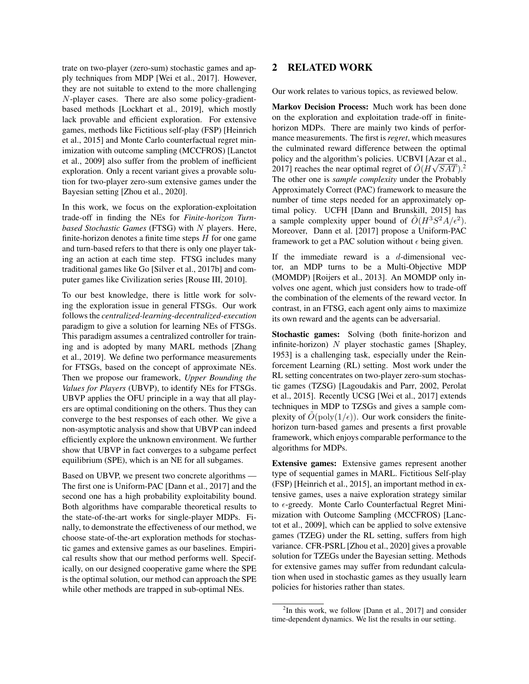trate on two-player (zero-sum) stochastic games and apply techniques from MDP [Wei et al., 2017]. However, they are not suitable to extend to the more challenging *N*-player cases. There are also some policy-gradientbased methods [Lockhart et al., 2019], which mostly lack provable and efficient exploration. For extensive games, methods like Fictitious self-play (FSP) [Heinrich et al., 2015] and Monte Carlo counterfactual regret minimization with outcome sampling (MCCFROS) [Lanctot et al., 2009] also suffer from the problem of inefficient exploration. Only a recent variant gives a provable solution for two-player zero-sum extensive games under the Bayesian setting [Zhou et al., 2020].

In this work, we focus on the exploration-exploitation trade-off in finding the NEs for *Finite-horizon Turnbased Stochastic Games* (FTSG) with *N* players. Here, finite-horizon denotes a finite time steps *H* for one game and turn-based refers to that there is only one player taking an action at each time step. FTSG includes many traditional games like Go [Silver et al., 2017b] and computer games like Civilization series [Rouse III, 2010].

To our best knowledge, there is little work for solving the exploration issue in general FTSGs. Our work follows the *centralized-learning-decentralized-execution* paradigm to give a solution for learning NEs of FTSGs. This paradigm assumes a centralized controller for training and is adopted by many MARL methods [Zhang et al., 2019]. We define two performance measurements for FTSGs, based on the concept of approximate NEs. Then we propose our framework, *Upper Bounding the Values for Players* (UBVP), to identify NEs for FTSGs. UBVP applies the OFU principle in a way that all players are optimal conditioning on the others. Thus they can converge to the best responses of each other. We give a non-asymptotic analysis and show that UBVP can indeed efficiently explore the unknown environment. We further show that UBVP in fact converges to a subgame perfect equilibrium (SPE), which is an NE for all subgames.

Based on UBVP, we present two concrete algorithms — The first one is Uniform-PAC [Dann et al., 2017] and the second one has a high probability exploitability bound. Both algorithms have comparable theoretical results to the state-of-the-art works for single-player MDPs. Finally, to demonstrate the effectiveness of our method, we choose state-of-the-art exploration methods for stochastic games and extensive games as our baselines. Empirical results show that our method performs well. Specifically, on our designed cooperative game where the SPE is the optimal solution, our method can approach the SPE while other methods are trapped in sub-optimal NEs.

# 2 RELATED WORK

Our work relates to various topics, as reviewed below.

Markov Decision Process: Much work has been done on the exploration and exploitation trade-off in finitehorizon MDPs. There are mainly two kinds of performance measurements. The first is *regret*, which measures the culminated reward difference between the optimal policy and the algorithm's policies. UCBVI [Azar et al., 2017] reaches the near optimal regret of  $\tilde{O}(H\sqrt{SAT})$ .<sup>2</sup> The other one is *sample complexity* under the Probably Approximately Correct (PAC) framework to measure the number of time steps needed for an approximately optimal policy. UCFH [Dann and Brunskill, 2015] has a sample complexity upper bound of  $\tilde{O}(H^3S^2A/\epsilon^2)$ . Moreover, Dann et al. [2017] propose a Uniform-PAC framework to get a PAC solution without  $\epsilon$  being given.

If the immediate reward is a *d*-dimensional vector, an MDP turns to be a Multi-Objective MDP (MOMDP) [Roijers et al., 2013]. An MOMDP only involves one agent, which just considers how to trade-off the combination of the elements of the reward vector. In contrast, in an FTSG, each agent only aims to maximize its own reward and the agents can be adversarial.

Stochastic games: Solving (both finite-horizon and infinite-horizon) *N* player stochastic games [Shapley, 1953] is a challenging task, especially under the Reinforcement Learning (RL) setting. Most work under the RL setting concentrates on two-player zero-sum stochastic games (TZSG) [Lagoudakis and Parr, 2002, Perolat et al., 2015]. Recently UCSG [Wei et al., 2017] extends techniques in MDP to TZSGs and gives a sample complexity of  $O(\text{poly}(1/\epsilon))$ . Our work considers the finitehorizon turn-based games and presents a first provable framework, which enjoys comparable performance to the algorithms for MDPs.

Extensive games: Extensive games represent another type of sequential games in MARL. Fictitious Self-play (FSP) [Heinrich et al., 2015], an important method in extensive games, uses a naive exploration strategy similar to  $\epsilon$ -greedy. Monte Carlo Counterfactual Regret Minimization with Outcome Sampling (MCCFROS) [Lanctot et al., 2009], which can be applied to solve extensive games (TZEG) under the RL setting, suffers from high variance. CFR-PSRL [Zhou et al., 2020] gives a provable solution for TZEGs under the Bayesian setting. Methods for extensive games may suffer from redundant calculation when used in stochastic games as they usually learn policies for histories rather than states.

<sup>&</sup>lt;sup>2</sup>In this work, we follow [Dann et al., 2017] and consider time-dependent dynamics. We list the results in our setting.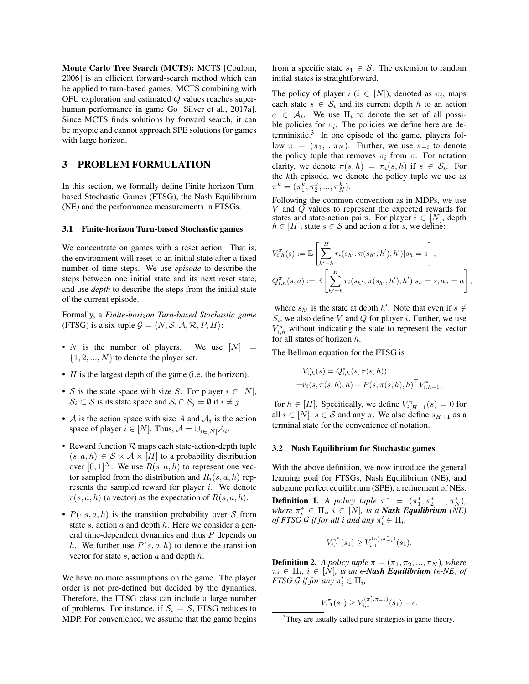Monte Carlo Tree Search (MCTS): MCTS [Coulom, 2006] is an efficient forward-search method which can be applied to turn-based games. MCTS combining with OFU exploration and estimated *Q* values reaches superhuman performance in game Go [Silver et al., 2017a]. Since MCTS finds solutions by forward search, it can be myopic and cannot approach SPE solutions for games with large horizon.

# 3 PROBLEM FORMULATION

In this section, we formally define Finite-horizon Turnbased Stochastic Games (FTSG), the Nash Equilibrium (NE) and the performance measurements in FTSGs.

#### 3.1 Finite-horizon Turn-based Stochastic games

We concentrate on games with a reset action. That is, the environment will reset to an initial state after a fixed number of time steps. We use *episode* to describe the steps between one initial state and its next reset state, and use *depth* to describe the steps from the initial state of the current episode.

Formally, a *Finite-horizon Turn-based Stochastic game* (FTSG) is a six-tuple  $G = \langle N, S, A, R, P, H \rangle$ :

- *N* is the number of players. We use  $[N] =$  $\{1, 2, ..., N\}$  to denote the player set.
- *H* is the largest depth of the game (i.e. the horizon).
- *S* is the state space with size *S*. For player  $i \in [N]$ ,  $S_i \subset S$  is its state space and  $S_i \cap S_j = \emptyset$  if  $i \neq j$ .
- *A* is the action space with size *A* and  $A_i$  is the action space of player  $i \in [N]$ . Thus,  $\mathcal{A} = \bigcup_{i \in [N]} \mathcal{A}_i$ .
- Reward function *R* maps each state-action-depth tuple  $(s, a, h) \in S \times A \times [H]$  to a probability distribution over  $[0, 1]^N$ . We use  $R(s, a, h)$  to represent one vector sampled from the distribution and  $R_i(s, a, h)$  represents the sampled reward for player *i*. We denote  $r(s, a, h)$  (a vector) as the expectation of  $R(s, a, h)$ .
- $P(\cdot|s, a, h)$  is the transition probability over *S* from state *s*, action *a* and depth *h*. Here we consider a general time-dependent dynamics and thus *P* depends on *h*. We further use  $P(s, a, h)$  to denote the transition vector for state *s*, action *a* and depth *h*.

We have no more assumptions on the game. The player order is not pre-defined but decided by the dynamics. Therefore, the FTSG class can include a large number of problems. For instance, if  $S_i = S$ , FTSG reduces to MDP. For convenience, we assume that the game begins from a specific state  $s_1 \in S$ . The extension to random initial states is straightforward.

The policy of player  $i$  ( $i \in [N]$ ), denoted as  $\pi_i$ , maps each state  $s \in S_i$  and its current depth h to an action  $a \in A_i$ . We use  $\Pi_i$  to denote the set of all possible policies for  $\pi_i$ . The policies we define here are deterministic.3 In one episode of the game, players follow  $\pi = (\pi_1, \ldots, \pi_N)$ . Further, we use  $\pi_{-i}$  to denote the policy tuple that removes  $\pi_i$  from  $\pi$ . For notation clarity, we denote  $\pi(s, h) = \pi_i(s, h)$  if  $s \in S_i$ . For the *k*th episode, we denote the policy tuple we use as  $\pi^k = (\pi_1^k, \pi_2^k, ..., \pi_N^k).$ 

Following the common convention as in MDPs, we use *V* and *Q* values to represent the expected rewards for states and state-action pairs. For player  $i \in [N]$ , depth  $h \in [H]$ , state  $s \in S$  and action *a* for *s*, we define:

$$
V_{i,h}^{\pi}(s) := \mathbb{E}\left[\sum_{h'=h}^{H} r_i(s_{h'}, \pi(s_{h'}, h'), h')|s_h = s\right],
$$
  

$$
Q_{i,h}^{\pi}(s, a) := \mathbb{E}\left[\sum_{h'=h}^{H} r_i(s_{h'}, \pi(s_{h'}, h'), h')|s_h = s, a_h = a\right],
$$

where  $s_h$  is the state at depth *h'*. Note that even if  $s \notin$  $S_i$ , we also define *V* and *Q* for player *i*. Further, we use  $V_{i,h}^{\pi}$  without indicating the state to represent the vector for all states of horizon *h*.

The Bellman equation for the FTSG is

$$
V_{i,h}^{\pi}(s) = Q_{i,h}^{\pi}(s, \pi(s, h))
$$
  
= $r_i(s, \pi(s, h), h) + P(s, \pi(s, h), h)^{\top} V_{i,h+1}^{\pi}$ ,

for  $h \in [H]$ . Specifically, we define  $V_{i,H+1}^{\pi}(s) = 0$  for all  $i \in [N]$ ,  $s \in S$  and any  $\pi$ . We also define  $s_{H+1}$  as a terminal state for the convenience of notation.

#### 3.2 Nash Equilibrium for Stochastic games

With the above definition, we now introduce the general learning goal for FTSGs, Nash Equilibrium (NE), and subgame perfect equilibrium (SPE), a refinement of NEs.

**Definition 1.** *A policy tuple*  $\pi^* = (\pi_1^*, \pi_2^*, ..., \pi_N^*)$ ,  $where \pi_i^* \in \Pi_i, i \in [N],$  *is a Nash Equilibrium (NE) of FTSG G if for all i and any*  $\pi'_i \in \Pi_i$ ,

$$
V_{i,1}^{\pi^*}(s_1) \geq V_{i,1}^{(\pi'_i, \pi^*_{-i})}(s_1).
$$

**Definition 2.** *A policy tuple*  $\pi = (\pi_1, \pi_2, ..., \pi_N)$ *, where*  $\pi_i \in \Pi_i$ *,*  $i \in [N]$ *, is an*  $\epsilon$ -*Nash Equilibrium* ( $\epsilon$ -*NE) of FTSG G if for any*  $\pi'_i \in \Pi_i$ *,* 

$$
V_{i,1}^{\pi}(s_1) \ge V_{i,1}^{(\pi'_i, \pi_{-i})}(s_1) - \epsilon.
$$

<sup>&</sup>lt;sup>3</sup>They are usually called pure strategies in game theory.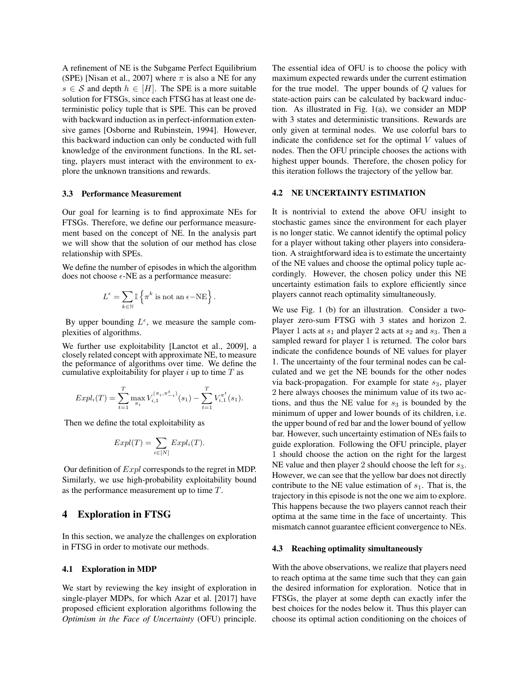A refinement of NE is the Subgame Perfect Equilibrium (SPE) [Nisan et al., 2007] where  $\pi$  is also a NE for any  $s \in S$  and depth  $h \in [H]$ . The SPE is a more suitable solution for FTSGs, since each FTSG has at least one deterministic policy tuple that is SPE. This can be proved with backward induction as in perfect-information extensive games [Osborne and Rubinstein, 1994]. However, this backward induction can only be conducted with full knowledge of the environment functions. In the RL setting, players must interact with the environment to explore the unknown transitions and rewards.

#### 3.3 Performance Measurement

Our goal for learning is to find approximate NEs for FTSGs. Therefore, we define our performance measurement based on the concept of NE. In the analysis part we will show that the solution of our method has close relationship with SPEs.

We define the number of episodes in which the algorithm does not choose  $\epsilon$ -NE as a performance measure:

$$
L^{\epsilon} = \sum_{k \in \mathbb{N}} \mathbb{I} \left\{ \pi^k \text{ is not an } \epsilon - \text{NE} \right\}.
$$

By upper bounding  $L^{\epsilon}$ , we measure the sample complexities of algorithms.

We further use exploitability [Lanctot et al., 2009], a closely related concept with approximate NE, to measure the peformance of algorithms over time. We define the cumulative exploitability for player *i* up to time *T* as

$$
Expl_i(T) = \sum_{t=1}^T \max_{\pi_i} V_{i,1}^{(\pi_i, \pi_{-i}^t)}(s_1) - \sum_{t=1}^T V_{i,1}^{\pi^t}(s_1).
$$

Then we define the total exploitability as

$$
Expl(T) = \sum_{i \in [N]} Expl_i(T).
$$

Our definition of *Expl* corresponds to the regret in MDP. Similarly, we use high-probability exploitability bound as the performance measurement up to time *T*.

### 4 Exploration in FTSG

In this section, we analyze the challenges on exploration in FTSG in order to motivate our methods.

#### 4.1 Exploration in MDP

We start by reviewing the key insight of exploration in single-player MDPs, for which Azar et al. [2017] have proposed efficient exploration algorithms following the *Optimism in the Face of Uncertainty* (OFU) principle. The essential idea of OFU is to choose the policy with maximum expected rewards under the current estimation for the true model. The upper bounds of *Q* values for state-action pairs can be calculated by backward induction. As illustrated in Fig. 1(a), we consider an MDP with 3 states and deterministic transitions. Rewards are only given at terminal nodes. We use colorful bars to indicate the confidence set for the optimal *V* values of nodes. Then the OFU principle chooses the actions with highest upper bounds. Therefore, the chosen policy for this iteration follows the trajectory of the yellow bar.

#### 4.2 NE UNCERTAINTY ESTIMATION

It is nontrivial to extend the above OFU insight to stochastic games since the environment for each player is no longer static. We cannot identify the optimal policy for a player without taking other players into consideration. A straightforward idea is to estimate the uncertainty of the NE values and choose the optimal policy tuple accordingly. However, the chosen policy under this NE uncertainty estimation fails to explore efficiently since players cannot reach optimality simultaneously.

We use Fig. 1 (b) for an illustration. Consider a twoplayer zero-sum FTSG with 3 states and horizon 2. Player 1 acts at  $s_1$  and player 2 acts at  $s_2$  and  $s_3$ . Then a sampled reward for player 1 is returned. The color bars indicate the confidence bounds of NE values for player 1. The uncertainty of the four terminal nodes can be calculated and we get the NE bounds for the other nodes via back-propagation. For example for state *s*3, player 2 here always chooses the minimum value of its two actions, and thus the NE value for  $s_3$  is bounded by the minimum of upper and lower bounds of its children, i.e. the upper bound of red bar and the lower bound of yellow bar. However, such uncertainty estimation of NEs fails to guide exploration. Following the OFU principle, player 1 should choose the action on the right for the largest NE value and then player 2 should choose the left for *s*3. However, we can see that the yellow bar does not directly contribute to the NE value estimation of  $s<sub>1</sub>$ . That is, the trajectory in this episode is not the one we aim to explore. This happens because the two players cannot reach their optima at the same time in the face of uncertainty. This mismatch cannot guarantee efficient convergence to NEs.

#### 4.3 Reaching optimality simultaneously

With the above observations, we realize that players need to reach optima at the same time such that they can gain the desired information for exploration. Notice that in FTSGs, the player at some depth can exactly infer the best choices for the nodes below it. Thus this player can choose its optimal action conditioning on the choices of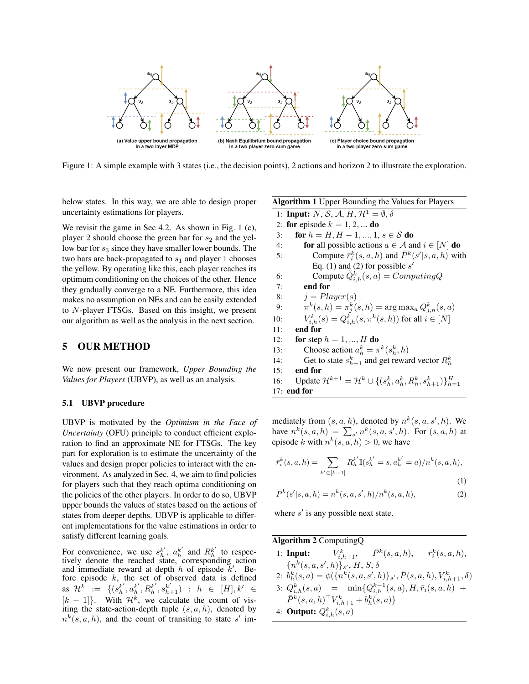

Figure 1: A simple example with 3 states (i.e., the decision points), 2 actions and horizon 2 to illustrate the exploration.

below states. In this way, we are able to design proper uncertainty estimations for players.

We revisit the game in Sec 4.2. As shown in Fig. 1 (c), player 2 should choose the green bar for  $s_2$  and the yellow bar for  $s_3$  since they have smaller lower bounds. The two bars are back-propagated to  $s_1$  and player 1 chooses the yellow. By operating like this, each player reaches its optimum conditioning on the choices of the other. Hence they gradually converge to a NE. Furthermore, this idea makes no assumption on NEs and can be easily extended to *N*-player FTSGs. Based on this insight, we present our algorithm as well as the analysis in the next section.

# 5 OUR METHOD

We now present our framework, *Upper Bounding the Values for Players* (UBVP), as well as an analysis.

#### 5.1 UBVP procedure

UBVP is motivated by the *Optimism in the Face of Uncertainty* (OFU) principle to conduct efficient exploration to find an approximate NE for FTSGs. The key part for exploration is to estimate the uncertainty of the values and design proper policies to interact with the environment. As analyzed in Sec. 4, we aim to find policies for players such that they reach optima conditioning on the policies of the other players. In order to do so, UBVP upper bounds the values of states based on the actions of states from deeper depths. UBVP is applicable to different implementations for the value estimations in order to satisfy different learning goals.

For convenience, we use  $s_h^{k'}$ ,  $a_h^{k'}$  and  $R_h^{k'}$  to respectively denote the reached state, corresponding action and immediate reward at depth  $h$  of episode  $k'$ . Before episode *k*, the set of observed data is defined  $\mathcal{H}^k := \{(s_h^{k'}, a_h^{k'}, R_h^{k'}, s_{h+1}^{k'}): h \in [H], k' \in$  $[k - 1]$ . With  $\mathcal{H}^k$ , we calculate the count of visiting the state-action-depth tuple (*s, a, h*), denoted by  $n^{k}(s, a, h)$ , and the count of transiting to state *s'* imAlgorithm 1 Upper Bounding the Values for Players 1: **Input:** *N*, *S*, *A*, *H*,  $\mathcal{H}^1 = \emptyset$ ,  $\delta$ 2: for episode  $k = 1, 2, \dots$  do 3: **for**  $h = H, H - 1, ..., 1, s \in S$  **do**<br>4: **for** all possible actions  $a \in A$  and 4: **for** all possible actions  $a \in \mathcal{A}$  and  $i \in [N]$  **do**<br>5: Compute  $\bar{r}_s^k(s, a, h)$  and  $\bar{P}^k(s'|s, a, h)$  with 5: Compute  $\bar{r}_i^k(s, a, h)$  and  $\bar{P}^k(s'|s, a, h)$  with Eq. (1) and (2) for possible  $s'$ 6: Compute  $\tilde{Q}_{i,h}^k(s, a) = ComputingQ$ 7: end for 8:  $j = Player(s)$ 9:  $\pi^k(s, h) = \pi^k_j(s, h) = \arg \max_a Q^k_{j, h}(s, a)$ 10:  $V_{i,h}^k(s) = Q_{i,h}^k(s, \pi^k(s, h))$  for all  $i \in [N]$ 11: end for 12: **for** step  $h = 1, ..., H$  **do** 13: Choose action  $a_h^k = \pi^k(s_h^k, h)$ 14: Get to state  $s_{h+1}^k$  and get reward vector  $R_h^k$ 15: end for

16: Update  $\mathcal{H}^{k+1} = \mathcal{H}^k \cup \{(s_h^k, a_h^k, R_h^k, s_{h+1}^k)\}_{h=1}^H$ 17: end for

mediately from  $(s, a, h)$ , denoted by  $n^k(s, a, s', h)$ . We have  $n^k(s, a, h) = \sum_{s'} n^k(s, a, s', h)$ . For  $(s, a, h)$  at episode *k* with  $n^k(s, a, h) > 0$ , we have

$$
\bar{r}_i^k(s, a, h) = \sum_{k' \in [k-1]} R_h^{k'} \mathbb{I}(s_h^{k'} = s, a_h^{k'} = a) / n^k(s, a, h),
$$
\n(1)

$$
\bar{P}^k(s'|s,a,h) = n^k(s,a,s',h)/n^k(s,a,h),
$$
\n(2)

where  $s'$  is any possible next state.

Algorithm 2 ComputingQ 1: **Input:**  $\bar{F}_{i,h+1}^k$ ,  $\bar{P}^k(s, a, h)$ ,  $\bar{r}_i^k(s, a, h)$ ,  ${n^k(s, a, s', h)}_{s'}$ , *H*, *S*,  $\delta$ 2:  $\dot{b}_h^k(s, a) = \phi(\{n^k(s, a, s', h)\}_{s'}, \bar{P}(s, a, h), V_{i, h+1}^k, \delta)$  $3: Q_{i,h}^k(s,a) = \min\{Q_{i,h}^{k-1}(s,a), H, \bar{r}_i(s,a,h) +$  $\bar{P}^k(s, a, h)$ <sup>T</sup> $V^k_{i, h+1}$  +  $b^k_h(s, a)$ } 4: **Output:**  $Q_{i,h}^k(s,a)$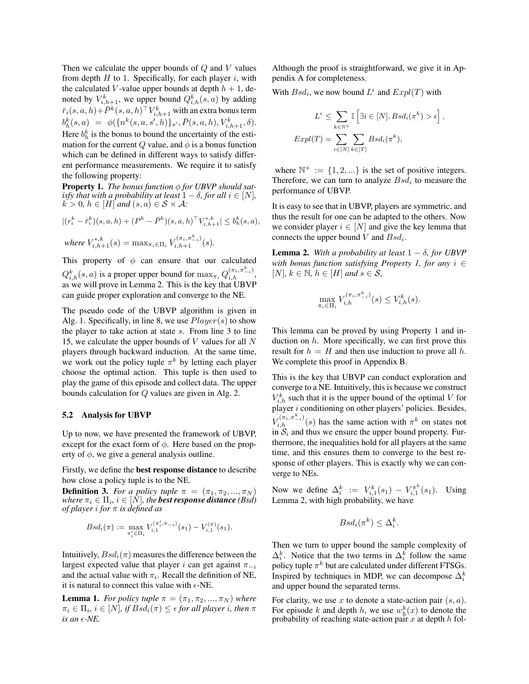Then we calculate the upper bounds of *Q* and *V* values from depth *H* to 1. Specifically, for each player *i*, with the calculated *V*-value upper bounds at depth  $h + 1$ , denoted by  $V_{i,h+1}^k$ , we upper bound  $Q_{i,h}^k(s, a)$  by adding  $\bar{r}_i(s,a,h)\!+\!\bar{P}^k(s,a,h)^\top V^k_{i,h+1}$  with an extra bonus term  $b^k_h(s, a) = \phi(\{n^k(s, a, s', h)\}_{s'}, \bar{P}(s, a, h), V^k_{i, h+1}, \delta).$ Here  $b_h^k$  is the bonus to bound the uncertainty of the estimation for the current *Q* value, and  $\phi$  is a bonus function which can be defined in different ways to satisfy different performance measurements. We require it to satisfy the following property:

**Property 1.** The bonus function  $\phi$  for UBVP should sat*isfy that with a probability at least*  $1 - \delta$ *, for all*  $i \in [N]$ *,*  $k > 0$ *,*  $h \in [H]$  *and*  $(s, a) \in S \times A$ *:* 

$$
|(r_i^k - \bar{r}_i^k)(s, a, h) + (P^k - \bar{P}^k)(s, a, h)^\top V_{i, h+1}^{*, k}| \le b_h^k(s, a),
$$
  
where  $V_{i, h+1}^{*, k}(s) = \max_{\pi_i \in \Pi_i} V_{i, h+1}^{(\pi_i, \pi_{i, i}^k)}(s).$ 

This property of  $\phi$  can ensure that our calculated  $Q_{i,h}^k(s, a)$  is a proper upper bound for  $\max_{\pi_i} Q_{i,h}^{(\pi_i, \pi_{-i}^k)}$ , as we will prove in Lemma 2. This is the key that UBVP can guide proper exploration and converge to the NE.

The pseudo code of the UBVP algorithm is given in Alg. 1. Specifically, in line 8, we use *Player*(*s*) to show the player to take action at state *s*. From line 3 to line 15, we calculate the upper bounds of *V* values for all *N* players through backward induction. At the same time, we work out the policy tuple  $\pi^k$  by letting each player choose the optimal action. This tuple is then used to play the game of this episode and collect data. The upper bounds calculation for *Q* values are given in Alg. 2.

#### 5.2 Analysis for UBVP

Up to now, we have presented the framework of UBVP, except for the exact form of  $\phi$ . Here based on the property of  $\phi$ , we give a general analysis outline.

Firstly, we define the best response distance to describe how close a policy tuple is to the NE.

**Definition 3.** For a policy tuple  $\pi = (\pi_1, \pi_2, ..., \pi_N)$ *where*  $\pi_i \in \Pi_i$ ,  $i \in [\hat{N}]$ , the **best response distance** *(Bsd) of player i for*  $\pi$  *is defined as* 

$$
Bsd_i(\pi) := \max_{\pi'_i \in \Pi_i} V_{i,1}^{(\pi'_i, \pi_{-i})}(s_1) - V_{i,1}^{(\pi)}(s_1).
$$

Intuitively,  $Bsd_i(\pi)$  measures the difference between the largest expected value that player *i* can get against  $\pi_{-i}$ and the actual value with  $\pi_i$ . Recall the definition of NE, it is natural to connect this value with  $\epsilon$ -NE.

**Lemma 1.** *For policy tuple*  $\pi = (\pi_1, \pi_2, ..., \pi_N)$  *where*  $\pi_i \in \Pi_i$ ,  $i \in [N]$ , if  $Bsd_i(\pi) \leq \epsilon$  for all player *i*, then  $\pi$  $i$ *s* an  $\epsilon$ *-NE*.

Although the proof is straightforward, we give it in Appendix A for completeness.

With  $Bsd_i$ , we now bound  $L^{\epsilon}$  and  $Expl(T)$  with

$$
L^{\epsilon} \leq \sum_{k \in \mathbb{N}^+} \mathbb{I}\left[\exists i \in [N], Bsd_i(\pi^k) > \epsilon\right],
$$
  

$$
Expl(T) = \sum_{i \in [N]} \sum_{k \in [T]} Bsd_i(\pi^k),
$$

where  $\mathbb{N}^+ := \{1, 2, \ldots\}$  is the set of positive integers. Therefore, we can turn to analyze *Bsd<sup>i</sup>* to measure the performance of UBVP.

It is easy to see that in UBVP, players are symmetric, and thus the result for one can be adapted to the others. Now we consider player  $i \in [N]$  and give the key lemma that connects the upper bound *V* and *Bsdi*.

**Lemma 2.** With a probability at least  $1 - \delta$ , for UBVP *with bonus function satisfying Property 1, for any*  $i \in$  $[N], k \in \mathbb{N}, h \in [H]$  and  $s \in \mathcal{S}$ ,

$$
\max_{\pi_i \in \Pi_i} V_{i,h}^{(\pi_i, \pi_{-i}^k)}(s) \le V_{i,h}^k(s).
$$

This lemma can be proved by using Property 1 and induction on *h*. More specifically, we can first prove this result for  $h = H$  and then use induction to prove all  $h$ . We complete this proof in Appendix B.

This is the key that UBVP can conduct exploration and converge to a NE. Intuitively, this is because we construct  $V_{i,h}^k$  such that it is the upper bound of the optimal *V* for player *i* conditioning on other players' policies. Besides,  $V_{i,h}^{(\pi_i, \pi_{-i}^k)}(s)$  has the same action with  $\pi^k$  on states not in  $S_i$  and thus we ensure the upper bound property. Furthermore, the inequalities hold for all players at the same time, and this ensures them to converge to the best response of other players. This is exactly why we can converge to NEs.

Now we define  $\Delta_i^k := V_{i,1}^k(s_1) - V_{i,1}^{\pi^k}(s_1)$ . Using Lemma 2, with high probability, we have

$$
Bsd_i(\pi^k) \leq \Delta_i^k.
$$

Then we turn to upper bound the sample complexity of  $\Delta_i^k$ . Notice that the two terms in  $\Delta_i^k$  follow the same policy tuple  $\pi^k$  but are calculated under different FTSGs. Inspired by techniques in MDP, we can decompose  $\Delta_i^k$ and upper bound the separated terms.

For clarity, we use *x* to denote a state-action pair (*s, a*). For episode *k* and depth *h*, we use  $w_h^k(x)$  to denote the probability of reaching state-action pair *x* at depth *h* fol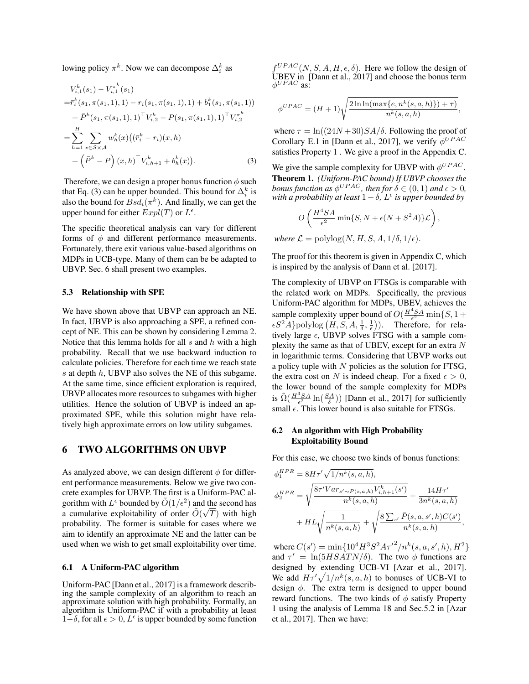lowing policy  $\pi^k$ . Now we can decompose  $\Delta_i^k$  as

$$
V_{i,1}^{k}(s_{1}) - V_{i,1}^{\pi^{k}}(s_{1})
$$
  
\n
$$
= \bar{r}_{i}^{k}(s_{1}, \pi(s_{1}, 1), 1) - r_{i}(s_{1}, \pi(s_{1}, 1), 1) + b_{1}^{k}(s_{1}, \pi(s_{1}, 1))
$$
  
\n
$$
+ \bar{P}^{k}(s_{1}, \pi(s_{1}, 1), 1)^{\top} V_{i,2}^{k} - P(s_{1}, \pi(s_{1}, 1), 1)^{\top} V_{i,2}^{\pi^{k}}
$$
  
\n
$$
= \sum_{h=1}^{H} \sum_{x \in S \times A} w_{h}^{k}(x) ((\bar{r}_{i}^{k} - r_{i})(x, h)
$$
  
\n
$$
+ (\bar{P}^{k} - P) (x, h)^{\top} V_{i, h+1}^{k} + b_{h}^{k}(x)).
$$
\n(3)

Therefore, we can design a proper bonus function  $\phi$  such that Eq. (3) can be upper bounded. This bound for  $\Delta_i^k$  is also the bound for  $Bsd_i(\pi^k)$ . And finally, we can get the upper bound for either  $Expl(T)$  or  $L^{\epsilon}$ .

The specific theoretical analysis can vary for different forms of  $\phi$  and different performance measurements. Fortunately, there exit various value-based algorithms on MDPs in UCB-type. Many of them can be be adapted to UBVP. Sec. 6 shall present two examples.

#### 5.3 Relationship with SPE

We have shown above that UBVP can approach an NE. In fact, UBVP is also approaching a SPE, a refined concept of NE. This can be shown by considering Lemma 2. Notice that this lemma holds for all *s* and *h* with a high probability. Recall that we use backward induction to calculate policies. Therefore for each time we reach state *s* at depth *h*, UBVP also solves the NE of this subgame. At the same time, since efficient exploration is required, UBVP allocates more resources to subgames with higher utilities. Hence the solution of UBVP is indeed an approximated SPE, while this solution might have relatively high approximate errors on low utility subgames.

### 6 TWO ALGORITHMS ON UBVP

As analyzed above, we can design different  $\phi$  for different performance measurements. Below we give two concrete examples for UBVP. The first is a Uniform-PAC algorithm with  $L^{\epsilon}$  bounded by  $\tilde{O}(1/\epsilon^2)$  and the second has a cumulative exploitability of order  $\tilde{O}(\sqrt{T})$  with high probability. The former is suitable for cases where we aim to identify an approximate NE and the latter can be used when we wish to get small exploitability over time.

#### 6.1 A Uniform-PAC algorithm

Uniform-PAC [Dann et al., 2017] is a framework describing the sample complexity of an algorithm to reach an approximate solution with high probability. Formally, an algorithm is Uniform-PAC if with a probability at least  $1-\delta$ , for all  $\epsilon > 0$ ,  $L^{\epsilon}$  is upper bounded by some function  $f^{UPAC}(N, S, A, H, \epsilon, \delta)$ . Here we follow the design of  $UBEV$  in [Dann et al., 2017] and choose the bonus term  $\phi^{UPAC}$  as:

$$
\phi^{UPAC} = (H+1)\sqrt{\frac{2\ln\ln(\max\{e, n^k(s, a, h)\}) + \tau)}{n^k(s, a, h)}},
$$

where  $\tau = \ln((24N + 30)SA/\delta)$ . Following the proof of Corollary E.1 in [Dann et al., 2017], we verify  $\phi^{UPAC}$ satisfies Property 1 . We give a proof in the Appendix C.

We give the sample complexity for UBVP with  $\phi^{UPAC}$ . Theorem 1. *(Uniform-PAC bound) If UBVP chooses the bonus function as*  $\phi^{UPAC}$ *, then for*  $\delta \in (0,1)$  *and*  $\epsilon > 0$ *, with a probability at least*  $1 - \delta$ *, L<sup>* $\epsilon$ *</sup> <i>is upper bounded by* 

$$
O\left(\frac{H^4SA}{\epsilon^2}\min\{S,N+\epsilon(N+S^2A)\}\mathcal{L}\right),\,
$$

*where*  $\mathcal{L} = \text{polylog}(N, H, S, A, 1/\delta, 1/\epsilon)$ .

The proof for this theorem is given in Appendix C, which is inspired by the analysis of Dann et al. [2017].

The complexity of UBVP on FTSGs is comparable with the related work on MDPs. Specifically, the previous Uniform-PAC algorithm for MDPs, UBEV, achieves the sample complexity upper bound of  $O(\frac{H^4SA}{\epsilon^2} \min\{S, 1+\}$  $\epsilon S^2 \hat{A}$ }polylog  $(H, \hat{S}, A, \frac{1}{\delta}, \frac{1}{\epsilon})$ ). Therefore, for relatively large  $\epsilon$ , UBVP solves FTSG with a sample complexity the same as that of UBEV, except for an extra *N* in logarithmic terms. Considering that UBVP works out a policy tuple with *N* policies as the solution for FTSG, the extra cost on *N* is indeed cheap. For a fixed  $\epsilon > 0$ , the lower bound of the sample complexity for MDPs is  $\tilde{\Omega}(\frac{H^3SA}{\epsilon^2} \ln(\frac{SA}{\delta}))$  [Dann et al., 2017] for sufficiently small  $\epsilon$ . This lower bound is also suitable for FTSGs.

### 6.2 An algorithm with High Probability Exploitability Bound

For this case, we choose two kinds of bonus functions:

$$
\phi_1^{HPR} = 8H\tau' \sqrt{1/n^k(s, a, h)},
$$
  
\n
$$
\phi_2^{HPR} = \sqrt{\frac{8\tau' Var_{s' \sim \bar{P}(s, a, h)} V_{i, h+1}^k(s')}{n^k(s, a, h)}} + \frac{14H\tau'}{3n^k(s, a, h)} + HL\sqrt{\frac{1}{n^k(s, a, h)} + \sqrt{\frac{8\sum_{s'} \bar{P}(s, a, s', h)C(s')}{n^k(s, a, h)}}},
$$

where  $C(s') = \min\{10^4 H^3 S^2 A \tau'^2 / n^k(s, a, s', h), H^2\}$ and  $\tau' = \ln(5HSATN/\delta)$ . The two  $\phi$  functions are designed by extending UCB-VI [Azar et al., 2017]. We add  $H\tau'\sqrt{1/n^k(s, a, h)}$  to bonuses of UCB-VI to design  $\phi$ . The extra term is designed to upper bound reward functions. The two kinds of  $\phi$  satisfy Property 1 using the analysis of Lemma 18 and Sec.5.2 in [Azar et al., 2017]. Then we have: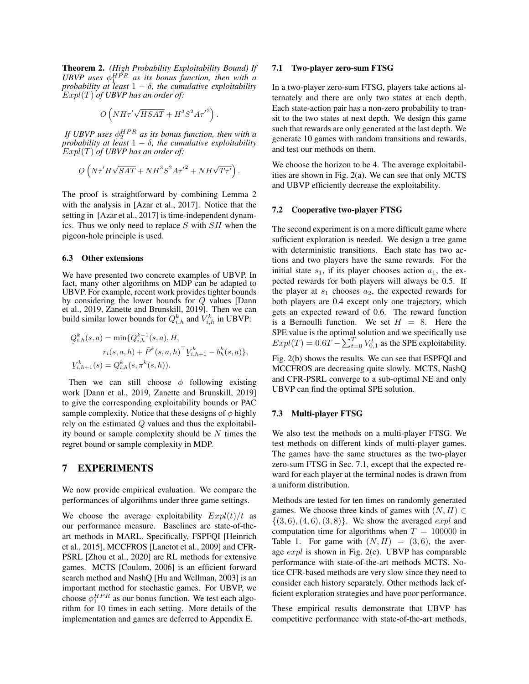Theorem 2. *(High Probability Exploitability Bound) If* UBVP uses  $\phi_1^{HPR}$  as its bonus function, then with a *probability at least*  $1 - \delta$ , the cumulative exploitability *Expl*(*T*) *of UBVP has an order of:*

$$
O\left(NH\tau'\sqrt{HSAT} + H^3S^2A\tau'^2\right).
$$

*If UBVP uses*  $\phi_2^{HPR}$  *as its bonus function, then with a probability at least*  $1 - \delta$ , the cumulative exploitability *Expl*(*T*) *of UBVP has an order of:*

$$
O\left(N\tau'H\sqrt{SAT} + NH^3S^2A\tau'^2 + NH\sqrt{T\tau'}\right).
$$

The proof is straightforward by combining Lemma 2 with the analysis in [Azar et al., 2017]. Notice that the setting in [Azar et al., 2017] is time-independent dynamics. Thus we only need to replace *S* with *SH* when the pigeon-hole principle is used.

#### 6.3 Other extensions

We have presented two concrete examples of UBVP. In fact, many other algorithms on MDP can be adapted to UBVP. For example, recent work provides tighter bounds by considering the lower bounds for *Q* values [Dann et al., 2019, Zanette and Brunskill, 2019]. Then we can build similar lower bounds for  $Q_{i,h}^k$  and  $V_{i,h}^k$  in UBVP:

$$
Q_{i,h}^{k}(s, a) = \min \{ Q_{i,h}^{k-1}(s, a), H,
$$
  
\n
$$
\bar{r}_{i}(s, a, h) + \bar{P}^{k}(s, a, h)^{\top} Y_{i,h+1}^{k} - b_{h}^{k}(s, a) \},
$$
  
\n
$$
Y_{i,h+1}^{k}(s) = Q_{i,h}^{k}(s, \pi^{k}(s, h)).
$$

Then we can still choose  $\phi$  following existing work [Dann et al., 2019, Zanette and Brunskill, 2019] to give the corresponding exploitability bounds or PAC sample complexity. Notice that these designs of  $\phi$  highly rely on the estimated *Q* values and thus the exploitability bound or sample complexity should be *N* times the regret bound or sample complexity in MDP.

### 7 EXPERIMENTS

We now provide empirical evaluation. We compare the performances of algorithms under three game settings.

We choose the average exploitability  $Expl(t)/t$  as our performance measure. Baselines are state-of-theart methods in MARL. Specifically, FSPFQI [Heinrich et al., 2015], MCCFROS [Lanctot et al., 2009] and CFR-PSRL [Zhou et al., 2020] are RL methods for extensive games. MCTS [Coulom, 2006] is an efficient forward search method and NashQ [Hu and Wellman, 2003] is an important method for stochastic games. For UBVP, we choose  $\phi_1^{HPR}$  as our bonus function. We test each algorithm for 10 times in each setting. More details of the implementation and games are deferred to Appendix E.

#### 7.1 Two-player zero-sum FTSG

In a two-player zero-sum FTSG, players take actions alternately and there are only two states at each depth. Each state-action pair has a non-zero probability to transit to the two states at next depth. We design this game such that rewards are only generated at the last depth. We generate 10 games with random transitions and rewards, and test our methods on them.

We choose the horizon to be 4. The average exploitabilities are shown in Fig. 2(a). We can see that only MCTS and UBVP efficiently decrease the exploitability.

#### 7.2 Cooperative two-player FTSG

The second experiment is on a more difficult game where sufficient exploration is needed. We design a tree game with deterministic transitions. Each state has two actions and two players have the same rewards. For the initial state  $s_1$ , if its player chooses action  $a_1$ , the expected rewards for both players will always be 0.5. If the player at  $s_1$  chooses  $a_2$ , the expected rewards for both players are 0.4 except only one trajectory, which gets an expected reward of 0.6. The reward function is a Bernoulli function. We set  $H = 8$ . Here the SPE value is the optimal solution and we specifically use  $Expl(T) = 0.6T - \sum_{t=0}^{T} V_{0,1}^{t}$  as the SPE exploitability.

Fig. 2(b) shows the results. We can see that FSPFQI and MCCFROS are decreasing quite slowly. MCTS, NashQ and CFR-PSRL converge to a sub-optimal NE and only UBVP can find the optimal SPE solution.

#### 7.3 Multi-player FTSG

We also test the methods on a multi-player FTSG. We test methods on different kinds of multi-player games. The games have the same structures as the two-player zero-sum FTSG in Sec. 7.1, except that the expected reward for each player at the terminal nodes is drawn from a uniform distribution.

Methods are tested for ten times on randomly generated games. We choose three kinds of games with  $(N, H) \in$ *{*(3*,* 6)*,*(4*,* 6)*,*(3*,* 8)*}*. We show the averaged *expl* and computation time for algorithms when  $T = 100000$  in Table 1. For game with  $(N, H) = (3, 6)$ , the average *expl* is shown in Fig. 2(c). UBVP has comparable performance with state-of-the-art methods MCTS. Notice CFR-based methods are very slow since they need to consider each history separately. Other methods lack efficient exploration strategies and have poor performance.

These empirical results demonstrate that UBVP has competitive performance with state-of-the-art methods,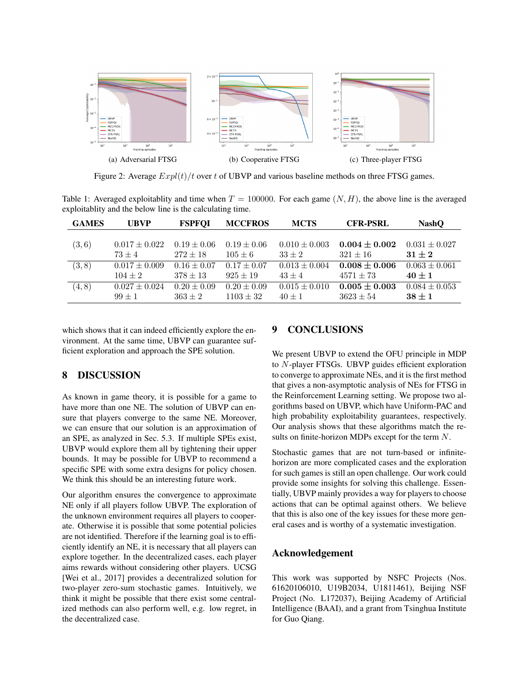

Figure 2: Average *Expl*(*t*)*/t* over *t* of UBVP and various baseline methods on three FTSG games.

Table 1: Averaged exploitablity and time when  $T = 100000$ . For each game  $(N, H)$ , the above line is the averaged exploitablity and the below line is the calculating time.

| <b>GAMES</b> | <b>UBVP</b>       | <b>FSPFOI</b>   | <b>MCCFROS</b>  | <b>MCTS</b>       | <b>CFR-PSRL</b>   | <b>NashO</b>      |
|--------------|-------------------|-----------------|-----------------|-------------------|-------------------|-------------------|
|              |                   |                 |                 |                   |                   |                   |
| (3,6)        | $0.017 \pm 0.022$ | $0.19 \pm 0.06$ | $0.19 \pm 0.06$ | $0.010 \pm 0.003$ | $0.004 \pm 0.002$ | $0.031 \pm 0.027$ |
|              | $73 + 4$          | $272 \pm 18$    | $105 \pm 6$     | $33 + 2$          | $321 \pm 16$      | $31 + 2$          |
| (3, 8)       | $0.017 \pm 0.009$ | $0.16 \pm 0.07$ | $0.17 \pm 0.07$ | $0.013 \pm 0.004$ | $0.008 + 0.006$   | $0.063 \pm 0.061$ |
|              | $104 \pm 2$       | $378 \pm 13$    | $925 \pm 19$    | $43 + 4$          | $4571 \pm 73$     | $40 \pm 1$        |
| (4, 8)       | $0.027 \pm 0.024$ | $0.20 \pm 0.09$ | $0.20 \pm 0.09$ | $0.015 \pm 0.010$ | $0.005\pm0.003$   | $0.084 \pm 0.053$ |
|              | $99 + 1$          | $363 \pm 2$     | $1103 \pm 32$   | $40 \pm 1$        | $3623 \pm 54$     | $38 \pm 1$        |

which shows that it can indeed efficiently explore the environment. At the same time, UBVP can guarantee sufficient exploration and approach the SPE solution.

# 8 DISCUSSION

As known in game theory, it is possible for a game to have more than one NE. The solution of UBVP can ensure that players converge to the same NE. Moreover, we can ensure that our solution is an approximation of an SPE, as analyzed in Sec. 5.3. If multiple SPEs exist, UBVP would explore them all by tightening their upper bounds. It may be possible for UBVP to recommend a specific SPE with some extra designs for policy chosen. We think this should be an interesting future work.

Our algorithm ensures the convergence to approximate NE only if all players follow UBVP. The exploration of the unknown environment requires all players to cooperate. Otherwise it is possible that some potential policies are not identified. Therefore if the learning goal is to efficiently identify an NE, it is necessary that all players can explore together. In the decentralized cases, each player aims rewards without considering other players. UCSG [Wei et al., 2017] provides a decentralized solution for two-player zero-sum stochastic games. Intuitively, we think it might be possible that there exist some centralized methods can also perform well, e.g. low regret, in the decentralized case.

### 9 CONCLUSIONS

We present UBVP to extend the OFU principle in MDP to *N*-player FTSGs. UBVP guides efficient exploration to converge to approximate NEs, and it is the first method that gives a non-asymptotic analysis of NEs for FTSG in the Reinforcement Learning setting. We propose two algorithms based on UBVP, which have Uniform-PAC and high probability exploitability guarantees, respectively. Our analysis shows that these algorithms match the results on finite-horizon MDPs except for the term *N*.

Stochastic games that are not turn-based or infinitehorizon are more complicated cases and the exploration for such games is still an open challenge. Our work could provide some insights for solving this challenge. Essentially, UBVP mainly provides a way for players to choose actions that can be optimal against others. We believe that this is also one of the key issues for these more general cases and is worthy of a systematic investigation.

### Acknowledgement

This work was supported by NSFC Projects (Nos. 61620106010, U19B2034, U1811461), Beijing NSF Project (No. L172037), Beijing Academy of Artificial Intelligence (BAAI), and a grant from Tsinghua Institute for Guo Qiang.